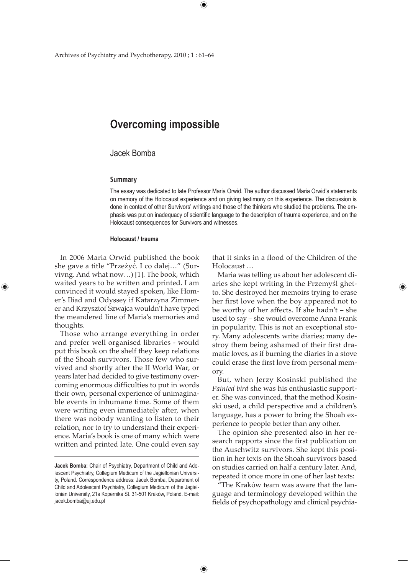# **Overcoming impossible**

# Jacek Bomba

#### **Summary**

The essay was dedicated to late Professor Maria Orwid. The author discussed Maria Orwid's statements on memory of the Holocaust experience and on giving testimony on this experience. The discussion is done in context of other Survivors' writings and those of the thinkers who studied the problems. The emphasis was put on inadequacy of scientific language to the description of trauma experience, and on the Holocaust consequences for Survivors and witnesses.

#### **Holocaust / trauma**

In 2006 Maria Orwid published the book she gave a title "Przeżyć. I co dalej…" (Survivng. And what now…) [1]. The book, which waited years to be written and printed. I am convinced it would stayed spoken, like Homer's Iliad and Odyssey if Katarzyna Zimmerer and Krzysztof Szwajca wouldn't have typed the meandered line of Maria's memories and thoughts.

⊕

Those who arrange everything in order and prefer well organised libraries - would put this book on the shelf they keep relations of the Shoah survivors. Those few who survived and shortly after the II World War, or years later had decided to give testimony overcoming enormous difficulties to put in words their own, personal experience of unimaginable events in inhumane time. Some of them were writing even immediately after, when there was nobody wanting to listen to their relation, nor to try to understand their experience. Maria's book is one of many which were written and printed late. One could even say

 $\bigoplus$ 

that it sinks in a flood of the Children of the Holocaust …

Maria was telling us about her adolescent diaries she kept writing in the Przemyśl ghetto. She destroyed her memoirs trying to erase her first love when the boy appeared not to be worthy of her affects. If she hadn't – she used to say – she would overcome Anna Frank in popularity. This is not an exceptional story. Many adolescents write diaries; many destroy them being ashamed of their first dramatic loves, as if burning the diaries in a stove could erase the first love from personal memory.

But, when Jerzy Kosinski published the *Painted bird* she was his enthusiastic supporter. She was convinced, that the method Kosinski used, a child perspective and a children's language, has a power to bring the Shoah experience to people better than any other.

The opinion she presented also in her research rapports since the first publication on the Auschwitz survivors. She kept this position in her texts on the Shoah survivors based on studies carried on half a century later. And, repeated it once more in one of her last texts:

"The Kraków team was aware that the language and terminology developed within the fields of psychopathology and clinical psychia-

**Jacek Bomba:** Chair of Psychiatry, Department of Child and Adolescent Psychiatry, Collegium Medicum of the Jagiellonian University, Poland. Correspondence address: Jacek Bomba, Department of Child and Adolescent Psychiatry, Collegium Medicum of the Jagiellonian University, 21a Kopernika St. 31-501 Kraków, Poland. E-mail: jacek.bomba@uj.edu.pl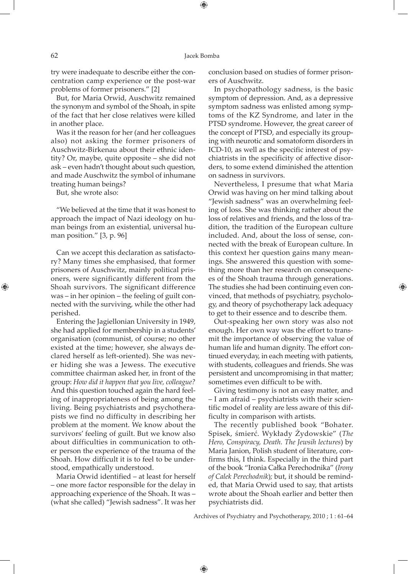⊕

try were inadequate to describe either the concentration camp experience or the post-war problems of former prisoners." [2]

But, for Maria Orwid, Auschwitz remained the synonym and symbol of the Shoah, in spite of the fact that her close relatives were killed in another place.

Was it the reason for her (and her colleagues also) not asking the former prisoners of Auschwitz-Birkenau about their ethnic identity? Or, maybe, quite opposite – she did not ask – even hadn't thought about such question, and made Auschwitz the symbol of inhumane treating human beings?

But, she wrote also:

"We believed at the time that it was honest to approach the impact of Nazi ideology on human beings from an existential, universal human position." [3, p. 96]

Can we accept this declaration as satisfactory? Many times she emphasised, that former prisoners of Auschwitz, mainly political prisoners, were significantly different from the Shoah survivors. The significant difference was – in her opinion – the feeling of guilt connected with the surviving, while the other had perished.

Entering the Jagiellonian University in 1949, she had applied for membership in a students' organisation (communist, of course; no other existed at the time; however, she always declared herself as left-oriented). She was never hiding she was a Jewess. The executive committee chairman asked her, in front of the group: *How did it happen that you live, colleague?* And this question touched again the hard feeling of inappropriateness of being among the living. Being psychiatrists and psychotherapists we find no difficulty in describing her problem at the moment. We know about the survivors' feeling of guilt. But we know also about difficulties in communication to other person the experience of the trauma of the Shoah. How difficult it is to feel to be understood, empathically understood.

Maria Orwid identified – at least for herself – one more factor responsible for the delay in approaching experience of the Shoah. It was – (what she called) "Jewish sadness". It was her conclusion based on studies of former prisoners of Auschwitz.

In psychopathology sadness, is the basic symptom of depression. And, as a depressive symptom sadness was enlisted among symptoms of the KZ Syndrome, and later in the PTSD syndrome. However, the great career of the concept of PTSD, and especially its grouping with neurotic and somatoform disorders in ICD-10, as well as the specific interest of psychiatrists in the specificity of affective disorders, to some extend diminished the attention on sadness in survivors.

Nevertheless, I presume that what Maria Orwid was having on her mind talking about "Jewish sadness" was an overwhelming feeling of loss. She was thinking rather about the loss of relatives and friends, and the loss of tradition, the tradition of the European culture included. And, about the loss of sense, connected with the break of European culture. In this context her question gains many meanings. She answered this question with something more than her research on consequences of the Shoah trauma through generations. The studies she had been continuing even convinced, that methods of psychiatry, psychology, and theory of psychotherapy lack adequacy to get to their essence and to describe them.

⊕

Out-speaking her own story was also not enough. Her own way was the effort to transmit the importance of observing the value of human life and human dignity. The effort continued everyday, in each meeting with patients, with students, colleagues and friends. She was persistent and uncompromising in that matter; sometimes even difficult to be with.

Giving testimony is not an easy matter, and – I am afraid – psychiatrists with their scientific model of reality are less aware of this difficulty in comparison with artists.

The recently published book "Bohater. Spisek, śmierć. Wykłady Żydowskie" (*The Hero, Conspiracy, Death. The Jewsih lectures*) by Maria Janion, Polish student of literature, confirms this, I think. Especially in the third part of the book "Ironia Całka Perechodnika" (*Irony of Calek Perechodnik*)*;* but, it should be reminded, that Maria Orwid used to say, that artists wrote about the Shoah earlier and better then psychiatrists did.

Archives of Psychiatry and Psychotherapy, 2010 ; 1 : 61–64

 $\bigoplus$ 

⊕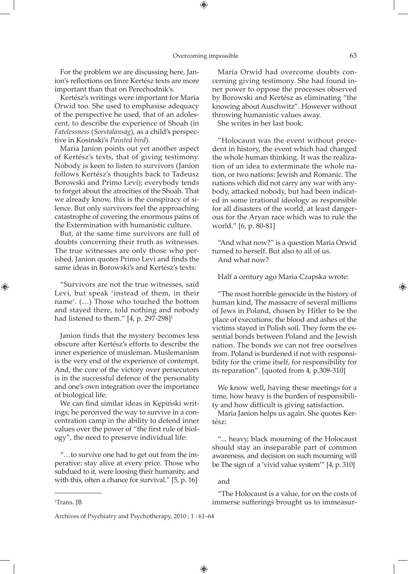⊕

For the problem we are discussing here, Janion's reflections on Imre Kertész texts are more important than that on Perechodnik's.

Kertész's writings were important for Maria Orwid too. She used to emphasise adequacy of the perspective he used, that of an adolescent, to describe the experience of Shoah (in *Fatelessness* (*Sorstalanság*), as a child's perspective in Kosinski's *Painted bird*).

Maria Janion points out yet another aspect of Kertész's texts, that of giving testimony. Nobody is keen to listen to survivors (Janion follows Kertész's thoughts back to Tadeusz Borowski and Primo Levi); everybody tends to forget about the atrocities of the Shoah. That we already know, this is the conspiracy of silence. But only survivors feel the approaching catastrophe of covering the enormous pains of the Extermination with humanistic culture.

But, at the same time survivors are full of doubts concerning their truth as witnesses. The true witnesses are only those who perished. Janion quotes Primo Levi and finds the same ideas in Borowski's and Kertész's texts:

"Survivors are not the true witnesses, said Levi, but speak 'instead of them, in their name'. (…) Those who touched the bottom and stayed there, told nothing and nobody had listened to them."  $[4, p. 297-298]$ <sup>1</sup>

Janion finds that the mystery becomes less obscure after Kertész's efforts to describe the inner experience of musleman. Muslemanism is the very end of the experience of contempt. And, the core of the victory over persecutors is in the successful defence of the personality and one's own integration over the importance of biological life.

We can find similar ideas in Kępiński writings; he perceived the way to survive in a concentration camp in the ability to defend inner values over the power of "the first rule of biology", the need to preserve individual life:

"…to survive one had to get out from the imperative: stay alive at every price. Those who subdued to it, were loosing their humanity, and with this, often a chance for survival." [5, p. 16]

1 Trans. JB

⊕

Maria Orwid had overcome doubts concerning giving testimony. She had found inner power to oppose the processes observed by Borowski and Kertész as eliminating "the knowing about Auschwitz". However without throwing humanistic values away.

She writes in her last book:

"Holocaust was the event without precedent in history, the event which had changed the whole human thinking. It was the realization of an idea to exterminate the whole nation, or two nations: Jewish and Romanic. The nations which did not carry any war with anybody, attacked nobody, but had been indicated in some irrational ideology as responsible for all disasters of the world, at least dangerous for the Aryan race which was to rule the world." [6, p. 80-81]

"And what now?" is a question Maria Orwid turned to herself. But also to all of us. And what now?

Half a century ago Maria Czapska wrote:

"The most horrible genocide in the history of human kind, The massacre of several millions of Jews in Poland, chosen by Hitler to be the place of executions; the blood and ashes of the victims stayed in Polish soil. They form the essential bonds between Poland and the Jewish nation. The bonds we can not free ourselves from. Poland is burdened if not with responsibility for the crime itself, for responsibility for its reparation". [quoted from 4, p.309-310]

We know well, having these meetings for a time, how heavy is the burden of responsibility and how difficult is giving satisfaction.

Maria Janion helps us again. She quotes Kertész:

"... heavy, black mourning of the Holocaust should stay an inseparable part of common awareness, and decision on such mourning will be The sign of a 'vivid value system'" [4, p. 310]

and

 $\bigoplus$ 

"The Holocaust is a value, for on the costs of immerse sufferings brought us to immeasur-

Archives of Psychiatry and Psychotherapy, 2010 ; 1 : 61–64